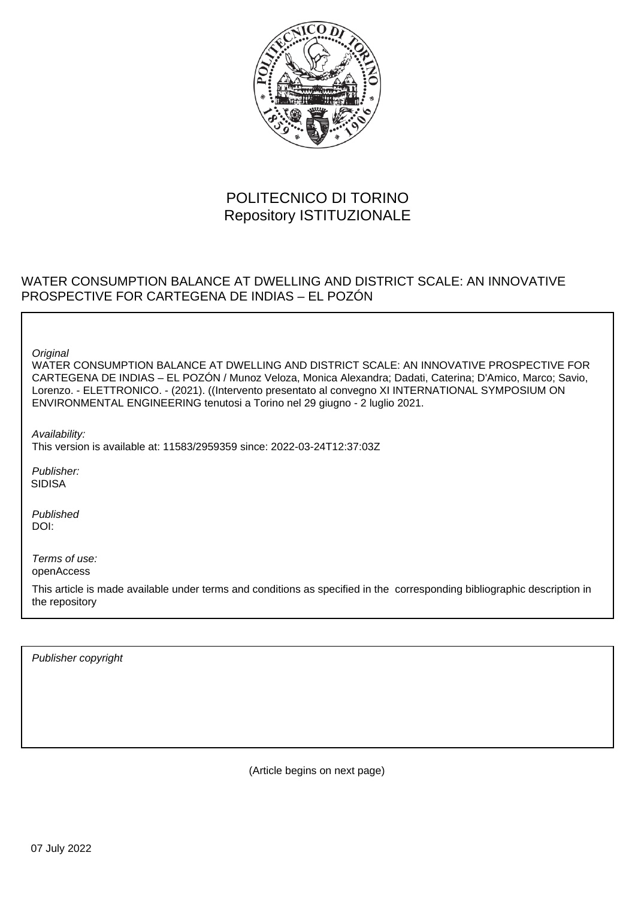

# POLITECNICO DI TORINO Repository ISTITUZIONALE

# WATER CONSUMPTION BALANCE AT DWELLING AND DISTRICT SCALE: AN INNOVATIVE PROSPECTIVE FOR CARTEGENA DE INDIAS – EL POZÓN

**Original** 

WATER CONSUMPTION BALANCE AT DWELLING AND DISTRICT SCALE: AN INNOVATIVE PROSPECTIVE FOR CARTEGENA DE INDIAS – EL POZÓN / Munoz Veloza, Monica Alexandra; Dadati, Caterina; D'Amico, Marco; Savio, Lorenzo. - ELETTRONICO. - (2021). ((Intervento presentato al convegno XI INTERNATIONAL SYMPOSIUM ON ENVIRONMENTAL ENGINEERING tenutosi a Torino nel 29 giugno - 2 luglio 2021.

Availability:

This version is available at: 11583/2959359 since: 2022-03-24T12:37:03Z

Publisher: SIDISA

Published DOI:

Terms of use: openAccess

This article is made available under terms and conditions as specified in the corresponding bibliographic description in the repository

Publisher copyright

(Article begins on next page)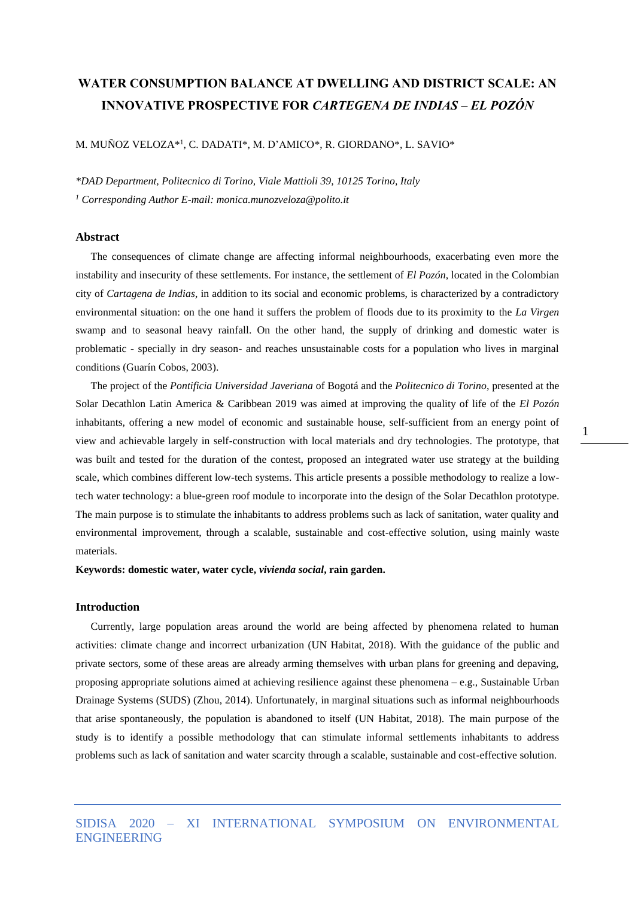# **WATER CONSUMPTION BALANCE AT DWELLING AND DISTRICT SCALE: AN INNOVATIVE PROSPECTIVE FOR** *CARTEGENA DE INDIAS – EL POZÓN*

M. MUÑOZ VELOZA\*<sup>1</sup> , C. DADATI\*, M. D'AMICO\*, R. GIORDANO\*, L. SAVIO\*

*\*DAD Department, Politecnico di Torino, Viale Mattioli 39, 10125 Torino, Italy <sup>1</sup> Corresponding Author E-mail: monica.munozveloza@polito.it*

### **Abstract**

The consequences of climate change are affecting informal neighbourhoods, exacerbating even more the instability and insecurity of these settlements. For instance, the settlement of *El Pozón*, located in the Colombian city of *Cartagena de Indias*, in addition to its social and economic problems, is characterized by a contradictory environmental situation: on the one hand it suffers the problem of floods due to its proximity to the *La Virgen* swamp and to seasonal heavy rainfall. On the other hand, the supply of drinking and domestic water is problematic - specially in dry season- and reaches unsustainable costs for a population who lives in marginal conditions (Guarín Cobos, 2003).

The project of the *Pontificia Universidad Javeriana* of Bogotá and the *Politecnico di Torino*, presented at the Solar Decathlon Latin America & Caribbean 2019 was aimed at improving the quality of life of the *El Pozón* inhabitants, offering a new model of economic and sustainable house, self-sufficient from an energy point of view and achievable largely in self-construction with local materials and dry technologies. The prototype, that was built and tested for the duration of the contest, proposed an integrated water use strategy at the building scale, which combines different low-tech systems. This article presents a possible methodology to realize a lowtech water technology: a blue-green roof module to incorporate into the design of the Solar Decathlon prototype. The main purpose is to stimulate the inhabitants to address problems such as lack of sanitation, water quality and environmental improvement, through a scalable, sustainable and cost-effective solution, using mainly waste materials.

**Keywords: domestic water, water cycle,** *vivienda social***, rain garden.**

### **Introduction**

Currently, large population areas around the world are being affected by phenomena related to human activities: climate change and incorrect urbanization (UN Habitat, 2018). With the guidance of the public and private sectors, some of these areas are already arming themselves with urban plans for greening and depaving, proposing appropriate solutions aimed at achieving resilience against these phenomena – e.g., Sustainable Urban Drainage Systems (SUDS) (Zhou, 2014). Unfortunately, in marginal situations such as informal neighbourhoods that arise spontaneously, the population is abandoned to itself (UN Habitat, 2018). The main purpose of the study is to identify a possible methodology that can stimulate informal settlements inhabitants to address problems such as lack of sanitation and water scarcity through a scalable, sustainable and cost-effective solution.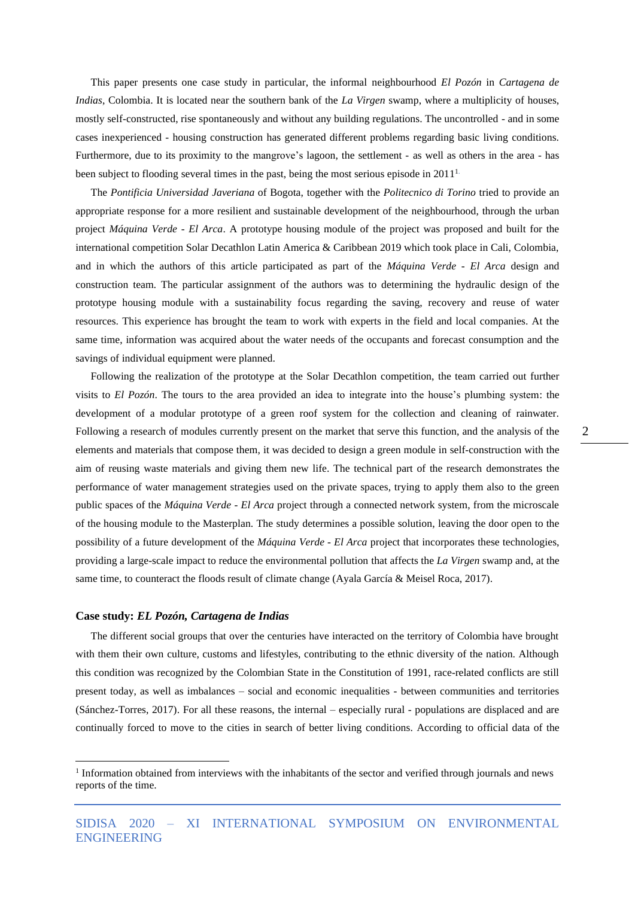This paper presents one case study in particular, the informal neighbourhood *El Pozón* in *Cartagena de Indias*, Colombia. It is located near the southern bank of the *La Virgen* swamp, where a multiplicity of houses, mostly self-constructed, rise spontaneously and without any building regulations. The uncontrolled - and in some cases inexperienced - housing construction has generated different problems regarding basic living conditions. Furthermore, due to its proximity to the mangrove's lagoon, the settlement - as well as others in the area - has been subject to flooding several times in the past, being the most serious episode in 2011<sup>1</sup>

The *Pontificia Universidad Javeriana* of Bogota, together with the *Politecnico di Torino* tried to provide an appropriate response for a more resilient and sustainable development of the neighbourhood, through the urban project *Máquina Verde - El Arca*. A prototype housing module of the project was proposed and built for the international competition Solar Decathlon Latin America & Caribbean 2019 which took place in Cali, Colombia, and in which the authors of this article participated as part of the *Máquina Verde - El Arca* design and construction team*.* The particular assignment of the authors was to determining the hydraulic design of the prototype housing module with a sustainability focus regarding the saving, recovery and reuse of water resources. This experience has brought the team to work with experts in the field and local companies. At the same time, information was acquired about the water needs of the occupants and forecast consumption and the savings of individual equipment were planned.

Following the realization of the prototype at the Solar Decathlon competition, the team carried out further visits to *El Pozón*. The tours to the area provided an idea to integrate into the house's plumbing system: the development of a modular prototype of a green roof system for the collection and cleaning of rainwater. Following a research of modules currently present on the market that serve this function, and the analysis of the elements and materials that compose them, it was decided to design a green module in self-construction with the aim of reusing waste materials and giving them new life. The technical part of the research demonstrates the performance of water management strategies used on the private spaces, trying to apply them also to the green public spaces of the *Máquina Verde - El Arca* project through a connected network system, from the microscale of the housing module to the Masterplan. The study determines a possible solution, leaving the door open to the possibility of a future development of the *Máquina Verde - El Arca* project that incorporates these technologies, providing a large-scale impact to reduce the environmental pollution that affects the *La Virgen* swamp and, at the same time, to counteract the floods result of climate change (Ayala García & Meisel Roca, 2017).

## **Case study:** *EL Pozón, Cartagena de Indias*

The different social groups that over the centuries have interacted on the territory of Colombia have brought with them their own culture, customs and lifestyles, contributing to the ethnic diversity of the nation. Although this condition was recognized by the Colombian State in the Constitution of 1991, race-related conflicts are still present today, as well as imbalances – social and economic inequalities - between communities and territories (Sánchez-Torres, 2017). For all these reasons, the internal – especially rural - populations are displaced and are continually forced to move to the cities in search of better living conditions. According to official data of the

<sup>&</sup>lt;sup>1</sup> Information obtained from interviews with the inhabitants of the sector and verified through journals and news reports of the time.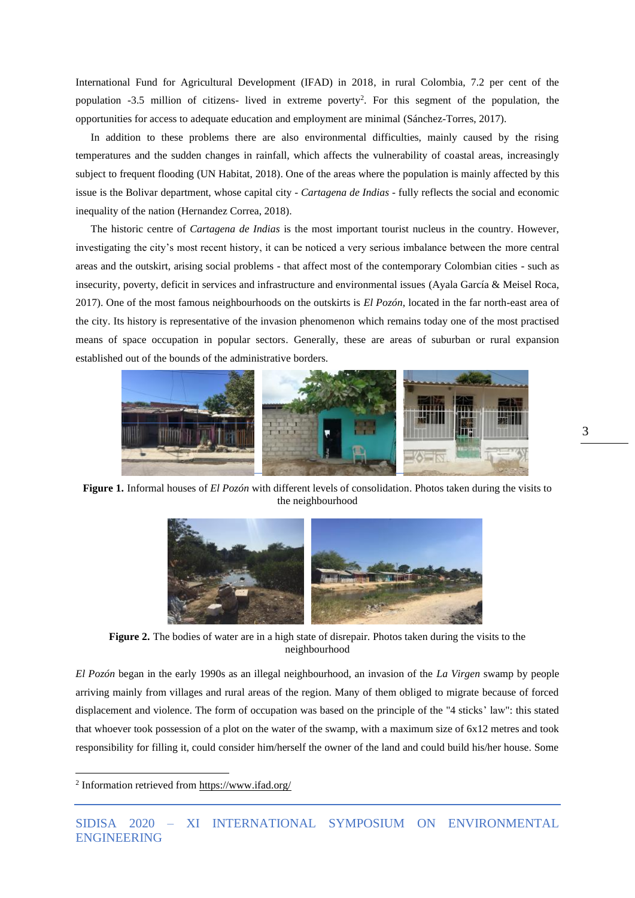International Fund for Agricultural Development (IFAD) in 2018, in rural Colombia, 7.2 per cent of the population -3.5 million of citizens- lived in extreme poverty<sup>2</sup> . For this segment of the population, the opportunities for access to adequate education and employment are minimal (Sánchez-Torres, 2017).

In addition to these problems there are also environmental difficulties, mainly caused by the rising temperatures and the sudden changes in rainfall, which affects the vulnerability of coastal areas, increasingly subject to frequent flooding (UN Habitat, 2018). One of the areas where the population is mainly affected by this issue is the Bolivar department, whose capital city - *Cartagena de Indias* - fully reflects the social and economic inequality of the nation (Hernandez Correa, 2018).

The historic centre of *Cartagena de Indias* is the most important tourist nucleus in the country. However, investigating the city's most recent history, it can be noticed a very serious imbalance between the more central areas and the outskirt, arising social problems - that affect most of the contemporary Colombian cities - such as insecurity, poverty, deficit in services and infrastructure and environmental issues (Ayala García & Meisel Roca, 2017). One of the most famous neighbourhoods on the outskirts is *El Pozón*, located in the far north-east area of the city. Its history is representative of the invasion phenomenon which remains today one of the most practised means of space occupation in popular sectors. Generally, these are areas of suburban or rural expansion established out of the bounds of the administrative borders.



**Figure 1.** Informal houses of *El Pozón* with different levels of consolidation. Photos taken during the visits to the neighbourhood



**Figure 2.** The bodies of water are in a high state of disrepair. Photos taken during the visits to the neighbourhood

*El Pozón* began in the early 1990s as an illegal neighbourhood, an invasion of the *La Virgen* swamp by people arriving mainly from villages and rural areas of the region. Many of them obliged to migrate because of forced displacement and violence. The form of occupation was based on the principle of the "4 sticks' law": this stated that whoever took possession of a plot on the water of the swamp, with a maximum size of 6x12 metres and took responsibility for filling it, could consider him/herself the owner of the land and could build his/her house. Some

<sup>&</sup>lt;sup>2</sup> Information retrieved from<https://www.ifad.org/>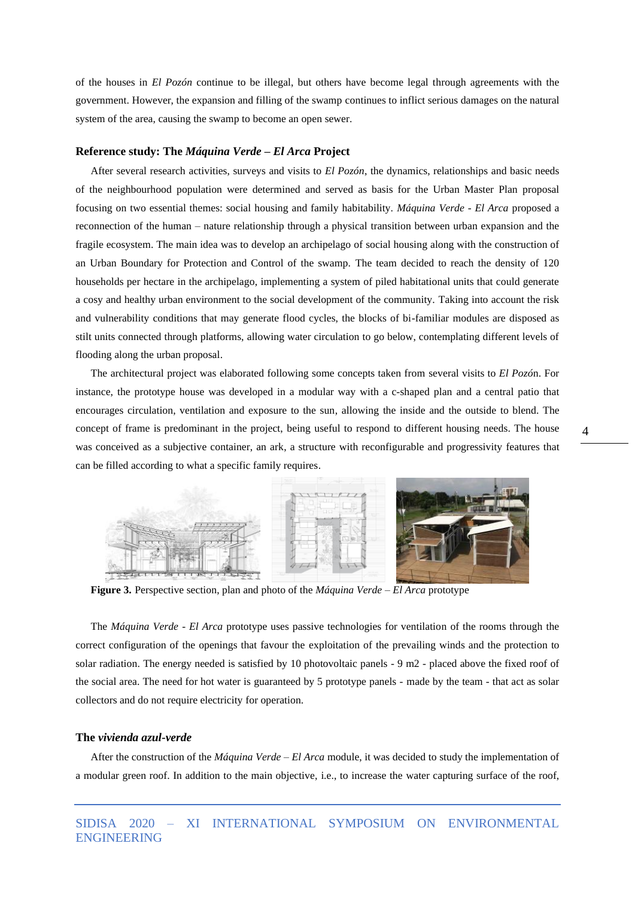of the houses in *El Pozón* continue to be illegal, but others have become legal through agreements with the government. However, the expansion and filling of the swamp continues to inflict serious damages on the natural system of the area, causing the swamp to become an open sewer.

#### **Reference study: The** *Máquina Verde – El Arca* **Project**

After several research activities, surveys and visits to *El Pozón*, the dynamics, relationships and basic needs of the neighbourhood population were determined and served as basis for the Urban Master Plan proposal focusing on two essential themes: social housing and family habitability. *Máquina Verde - El Arca* proposed a reconnection of the human – nature relationship through a physical transition between urban expansion and the fragile ecosystem. The main idea was to develop an archipelago of social housing along with the construction of an Urban Boundary for Protection and Control of the swamp. The team decided to reach the density of 120 households per hectare in the archipelago, implementing a system of piled habitational units that could generate a cosy and healthy urban environment to the social development of the community. Taking into account the risk and vulnerability conditions that may generate flood cycles, the blocks of bi-familiar modules are disposed as stilt units connected through platforms, allowing water circulation to go below, contemplating different levels of flooding along the urban proposal.

The architectural project was elaborated following some concepts taken from several visits to *El Pozó*n. For instance, the prototype house was developed in a modular way with a c-shaped plan and a central patio that encourages circulation, ventilation and exposure to the sun, allowing the inside and the outside to blend. The concept of frame is predominant in the project, being useful to respond to different housing needs. The house was conceived as a subjective container, an ark, a structure with reconfigurable and progressivity features that can be filled according to what a specific family requires.



**Figure 3.** Perspective section, plan and photo of the *Máquina Verde – El Arca* prototype

The *Máquina Verde - El Arca* prototype uses passive technologies for ventilation of the rooms through the correct configuration of the openings that favour the exploitation of the prevailing winds and the protection to solar radiation. The energy needed is satisfied by 10 photovoltaic panels - 9 m2 - placed above the fixed roof of the social area. The need for hot water is guaranteed by 5 prototype panels - made by the team - that act as solar collectors and do not require electricity for operation.

#### **The** *vivienda azul-verde*

After the construction of the *Máquina Verde – El Arca* module, it was decided to study the implementation of a modular green roof. In addition to the main objective, i.e., to increase the water capturing surface of the roof,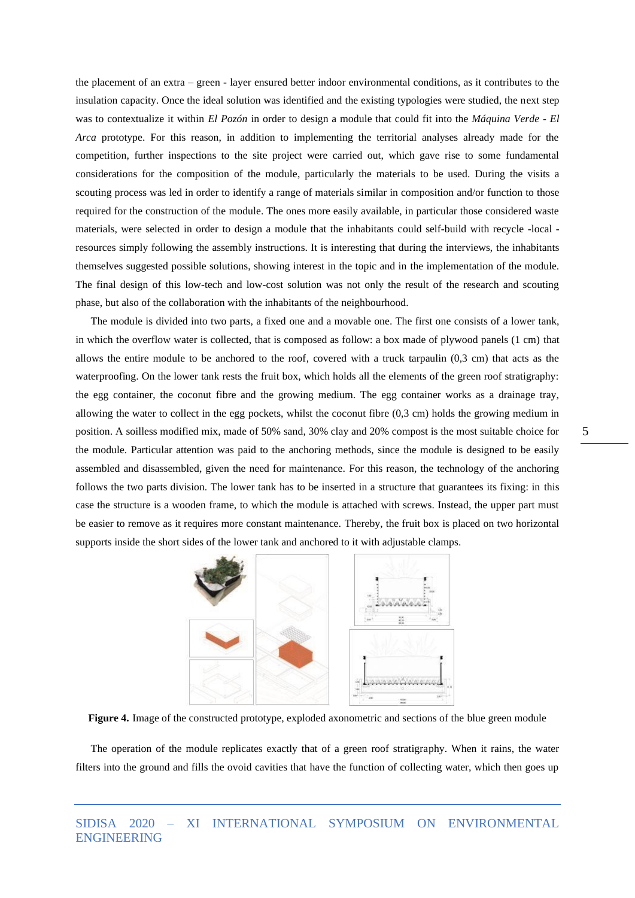the placement of an extra – green - layer ensured better indoor environmental conditions, as it contributes to the insulation capacity. Once the ideal solution was identified and the existing typologies were studied, the next step was to contextualize it within *El Pozón* in order to design a module that could fit into the *Máquina Verde - El Arca* prototype. For this reason, in addition to implementing the territorial analyses already made for the competition, further inspections to the site project were carried out, which gave rise to some fundamental considerations for the composition of the module, particularly the materials to be used. During the visits a scouting process was led in order to identify a range of materials similar in composition and/or function to those required for the construction of the module. The ones more easily available, in particular those considered waste materials, were selected in order to design a module that the inhabitants could self-build with recycle -local resources simply following the assembly instructions. It is interesting that during the interviews, the inhabitants themselves suggested possible solutions, showing interest in the topic and in the implementation of the module. The final design of this low-tech and low-cost solution was not only the result of the research and scouting phase, but also of the collaboration with the inhabitants of the neighbourhood.

The module is divided into two parts, a fixed one and a movable one. The first one consists of a lower tank, in which the overflow water is collected, that is composed as follow: a box made of plywood panels (1 cm) that allows the entire module to be anchored to the roof, covered with a truck tarpaulin (0,3 cm) that acts as the waterproofing. On the lower tank rests the fruit box, which holds all the elements of the green roof stratigraphy: the egg container, the coconut fibre and the growing medium. The egg container works as a drainage tray, allowing the water to collect in the egg pockets, whilst the coconut fibre (0,3 cm) holds the growing medium in position. A soilless modified mix, made of 50% sand, 30% clay and 20% compost is the most suitable choice for the module. Particular attention was paid to the anchoring methods, since the module is designed to be easily assembled and disassembled, given the need for maintenance. For this reason, the technology of the anchoring follows the two parts division. The lower tank has to be inserted in a structure that guarantees its fixing: in this case the structure is a wooden frame, to which the module is attached with screws. Instead, the upper part must be easier to remove as it requires more constant maintenance. Thereby, the fruit box is placed on two horizontal supports inside the short sides of the lower tank and anchored to it with adjustable clamps.



**Figure 4.** Image of the constructed prototype, exploded axonometric and sections of the blue green module

The operation of the module replicates exactly that of a green roof stratigraphy. When it rains, the water filters into the ground and fills the ovoid cavities that have the function of collecting water, which then goes up